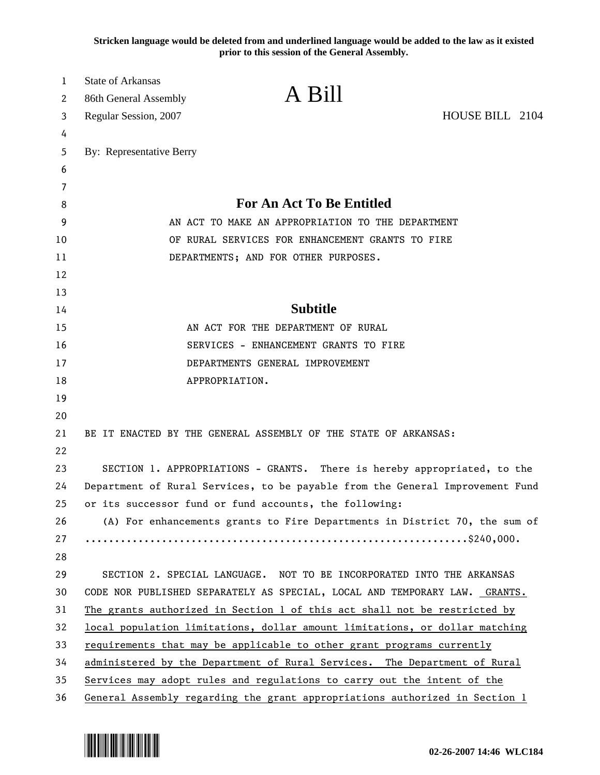**Stricken language would be deleted from and underlined language would be added to the law as it existed prior to this session of the General Assembly.**

| 1  | <b>State of Arkansas</b>                                                      |                                                                             |                 |
|----|-------------------------------------------------------------------------------|-----------------------------------------------------------------------------|-----------------|
| 2  | 86th General Assembly                                                         | A Bill                                                                      |                 |
| 3  | Regular Session, 2007                                                         |                                                                             | HOUSE BILL 2104 |
| 4  |                                                                               |                                                                             |                 |
| 5  | By: Representative Berry                                                      |                                                                             |                 |
| 6  |                                                                               |                                                                             |                 |
| 7  |                                                                               |                                                                             |                 |
| 8  |                                                                               | <b>For An Act To Be Entitled</b>                                            |                 |
| 9  |                                                                               | AN ACT TO MAKE AN APPROPRIATION TO THE DEPARTMENT                           |                 |
| 10 |                                                                               | OF RURAL SERVICES FOR ENHANCEMENT GRANTS TO FIRE                            |                 |
| 11 |                                                                               | DEPARTMENTS; AND FOR OTHER PURPOSES.                                        |                 |
| 12 |                                                                               |                                                                             |                 |
| 13 |                                                                               |                                                                             |                 |
| 14 |                                                                               | <b>Subtitle</b>                                                             |                 |
| 15 |                                                                               | AN ACT FOR THE DEPARTMENT OF RURAL                                          |                 |
| 16 |                                                                               | SERVICES - ENHANCEMENT GRANTS TO FIRE                                       |                 |
| 17 |                                                                               | DEPARTMENTS GENERAL IMPROVEMENT                                             |                 |
| 18 |                                                                               | APPROPRIATION.                                                              |                 |
| 19 |                                                                               |                                                                             |                 |
| 20 |                                                                               |                                                                             |                 |
| 21 |                                                                               | BE IT ENACTED BY THE GENERAL ASSEMBLY OF THE STATE OF ARKANSAS:             |                 |
| 22 |                                                                               |                                                                             |                 |
| 23 | SECTION 1. APPROPRIATIONS - GRANTS. There is hereby appropriated, to the      |                                                                             |                 |
| 24 | Department of Rural Services, to be payable from the General Improvement Fund |                                                                             |                 |
| 25 |                                                                               | or its successor fund or fund accounts, the following:                      |                 |
| 26 |                                                                               | (A) For enhancements grants to Fire Departments in District 70, the sum of  |                 |
| 27 |                                                                               |                                                                             |                 |
| 28 |                                                                               |                                                                             |                 |
| 29 |                                                                               | SECTION 2. SPECIAL LANGUAGE. NOT TO BE INCORPORATED INTO THE ARKANSAS       |                 |
| 30 | CODE NOR PUBLISHED SEPARATELY AS SPECIAL, LOCAL AND TEMPORARY LAW. GRANTS.    |                                                                             |                 |
| 31 |                                                                               | The grants authorized in Section 1 of this act shall not be restricted by   |                 |
| 32 | local population limitations, dollar amount limitations, or dollar matching   |                                                                             |                 |
| 33 | requirements that may be applicable to other grant programs currently         |                                                                             |                 |
| 34 |                                                                               | administered by the Department of Rural Services. The Department of Rural   |                 |
| 35 |                                                                               | Services may adopt rules and regulations to carry out the intent of the     |                 |
| 36 |                                                                               | General Assembly regarding the grant appropriations authorized in Section 1 |                 |

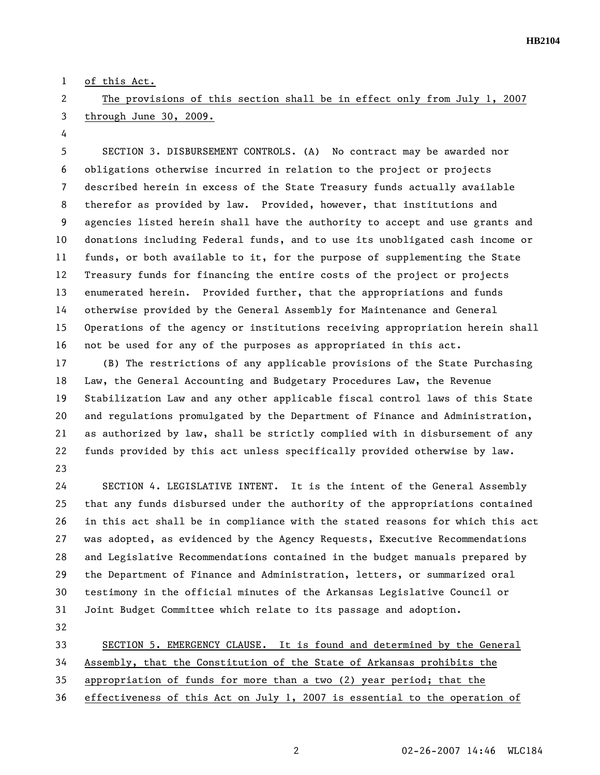1 of this Act.

## 2 The provisions of this section shall be in effect only from July 1, 2007 3 through June 30, 2009.

4

5 SECTION 3. DISBURSEMENT CONTROLS. (A) No contract may be awarded nor 6 obligations otherwise incurred in relation to the project or projects 7 described herein in excess of the State Treasury funds actually available 8 therefor as provided by law. Provided, however, that institutions and 9 agencies listed herein shall have the authority to accept and use grants and 10 donations including Federal funds, and to use its unobligated cash income or 11 funds, or both available to it, for the purpose of supplementing the State 12 Treasury funds for financing the entire costs of the project or projects 13 enumerated herein. Provided further, that the appropriations and funds 14 otherwise provided by the General Assembly for Maintenance and General 15 Operations of the agency or institutions receiving appropriation herein shall 16 not be used for any of the purposes as appropriated in this act.

17 (B) The restrictions of any applicable provisions of the State Purchasing 18 Law, the General Accounting and Budgetary Procedures Law, the Revenue 19 Stabilization Law and any other applicable fiscal control laws of this State 20 and regulations promulgated by the Department of Finance and Administration, 21 as authorized by law, shall be strictly complied with in disbursement of any 22 funds provided by this act unless specifically provided otherwise by law. 23

24 SECTION 4. LEGISLATIVE INTENT. It is the intent of the General Assembly 25 that any funds disbursed under the authority of the appropriations contained 26 in this act shall be in compliance with the stated reasons for which this act 27 was adopted, as evidenced by the Agency Requests, Executive Recommendations 28 and Legislative Recommendations contained in the budget manuals prepared by 29 the Department of Finance and Administration, letters, or summarized oral 30 testimony in the official minutes of the Arkansas Legislative Council or 31 Joint Budget Committee which relate to its passage and adoption.

32

33 SECTION 5. EMERGENCY CLAUSE. It is found and determined by the General

34 Assembly, that the Constitution of the State of Arkansas prohibits the

35 appropriation of funds for more than a two (2) year period; that the

36 effectiveness of this Act on July 1, 2007 is essential to the operation of